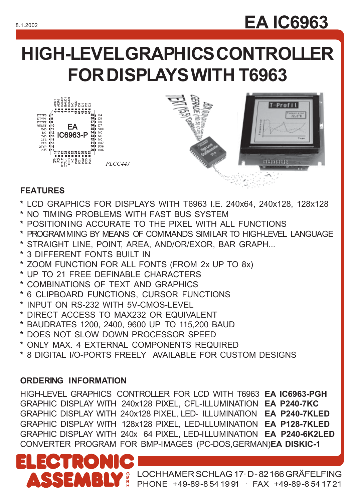# 8.1.2002 **EA IC6963**

# **HIGH-LEVEL GRAPHICS CONTROLLER FOR DISPLAYS WITH T6963**



## **FEATURES**

**RESET** RxD NC

....<br>T⊻D

- **\*** LCD GRAPHICS FOR DISPLAYS WITH T6963 I.E. 240x64, 240x128, 128x128
- **\*** NO TIMING PROBLEMS WITH FAST BUS SYSTEM
- **\*** POSITIONING ACCURATE TO THE PIXEL WITH ALL FUNCTIONS
- **\*** PROGRAMMING BY MEANS OF COMMANDS SIMILAR TO HIGH-LEVEL LANGUAGE
- **\*** STRAIGHT LINE, POINT, AREA, AND/OR/EXOR, BAR GRAPH...
- **\*** 3 DIFFERENT FONTS BUILT IN
- **\*** ZOOM FUNCTION FOR ALL FONTS (FROM 2x UP TO 8x)
- **\*** UP TO 21 FREE DEFINABLE CHARACTERS
- **\*** COMBINATIONS OF TEXT AND GRAPHICS
- **\*** 6 CLIPBOARD FUNCTIONS, CURSOR FUNCTIONS
- **\*** INPUT ON RS-232 WITH 5V-CMOS-LEVEL
- **\*** DIRECT ACCESS TO MAX232 OR EQUIVALENT
- **\*** BAUDRATES 1200, 2400, 9600 UP TO 115,200 BAUD
- **\*** DOES NOT SLOW DOWN PROCESSOR SPEED
- **\*** ONLY MAX. 4 EXTERNAL COMPONENTS REQUIRED
- **\*** 8 DIGITAL I/O-PORTS FREELY AVAILABLE FOR CUSTOM DESIGNS

## **ORDERING INFORMATION**

HIGH-LEVEL GRAPHICS CONTROLLER FOR LCD WITH T6963 **EA IC6963-PGH** GRAPHIC DISPLAY WITH 240x128 PIXEL, CFL-ILLUMINATION **EA P240-7KC** GRAPHIC DISPLAY WITH 240x128 PIXEL, LED- ILLUMINATION **EA P240-7KLED** GRAPHIC DISPLAY WITH 128x128 PIXEL, LED-ILLUMINATION **EA P128-7KLED** GRAPHIC DISPLAY WITH 240x 64 PIXEL, LED-ILLUMINATION **EA P240-6K2LED** CONVERTER PROGRAM FOR BMP-IMAGES (PC-DOS,GERMAN)**EA DISKIC-1**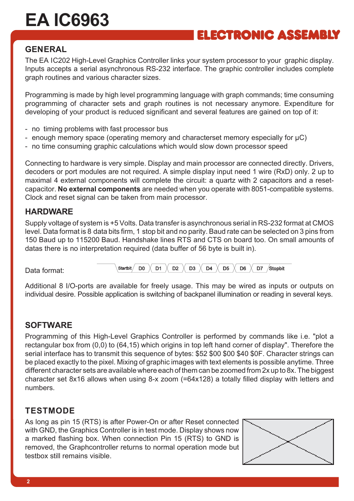## ELECTRONIC ASSEMBLY

#### **GENERAL**

The EA IC202 High-Level Graphics Controller links your system processor to your graphic display. Inputs accepts a serial asynchronous RS-232 interface. The graphic controller includes complete graph routines and various character sizes.

Programming is made by high level programming language with graph commands; time consuming programming of character sets and graph routines is not necessary anymore. Expenditure for developing of your product is reduced significant and several features are gained on top of it:

- no timing problems with fast processor bus
- enough memory space (operating memory and characterset memory especially for µC)
- no time consuming graphic calculations which would slow down processor speed

Connecting to hardware is very simple. Display and main processor are connected directly. Drivers, decoders or port modules are not required. A simple display input need 1 wire (RxD) only. 2 up to maximal 4 external components will complete the circuit: a quartz with 2 capacitors and a resetcapacitor. **No external components** are needed when you operate with 8051-compatible systems. Clock and reset signal can be taken from main processor.

#### **HARDWARE**

Supply voltage of system is +5 Volts. Data transfer is asynchronous serial in RS-232 format at CMOS level. Data format is 8 data bits firm, 1 stop bit and no parity. Baud rate can be selected on 3 pins from 150 Baud up to 115200 Baud. Handshake lines RTS and CTS on board too. On small amounts of datas there is no interpretation required (data buffer of 56 byte is built in).

Data format:

X **D2** X D<sub>5</sub> D<sub>0</sub> D<sub>1</sub>  $D3$ D4  $\times$  $\overline{D6}$   $\times$ D7 Stopbit Startbit /

Additional 8 I/O-ports are available for freely usage. This may be wired as inputs or outputs on individual desire. Possible application is switching of backpanel illumination or reading in several keys.

#### **SOFTWARE**

Programming of this High-Level Graphics Controller is performed by commands like i.e. "plot a rectangular box from (0,0) to (64,15) which origins in top left hand corner of display". Therefore the serial interface has to transmit this sequence of bytes: \$52 \$00 \$00 \$40 \$0F. Character strings can be placed exactly to the pixel. Mixing of graphic images with text elements is possible anytime. Three different character sets are available where each of them can be zoomed from 2x up to 8x. The biggest character set 8x16 allows when using 8-x zoom (=64x128) a totally filled display with letters and numbers.

#### **TESTMODE**

As long as pin 15 (RTS) is after Power-On or after Reset connected with GND, the Graphics Controller is in test mode. Display shows now a marked flashing box. When connection Pin 15 (RTS) to GND is removed, the Graphcontroller returns to normal operation mode but testbox still remains visible.

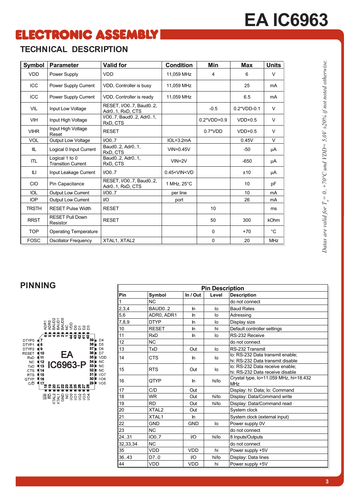## **ELECTRONIC ASSEMBLY**

## **TECHNICAL DESCRIPTION**

| Symbol       | <b>Parameter</b>                            | <b>Valid for</b>                                       | <b>Condition</b>                                               | Min           | Max           | <b>Units</b>   |
|--------------|---------------------------------------------|--------------------------------------------------------|----------------------------------------------------------------|---------------|---------------|----------------|
| <b>VDD</b>   | Power Supply                                | <b>VDD</b>                                             | 11.059 MHz                                                     | 4             | 6             | $\vee$         |
| <b>ICC</b>   | Power Supply Current                        | VDD, Controller is busy                                | 11,059 MHz                                                     |               | 25            | mA             |
| <b>ICC</b>   | Power Supply Current                        | VDD, Controller is ready                               | 11.059 MHz                                                     |               | 6.5           | m <sub>A</sub> |
| <b>VIL</b>   | Input Low Voltage                           | RESET, I/O07, Baud02,<br>Adr <sub>0.1</sub> , RxD, CTS |                                                                | $-0.5$        | $0.2*VDD-0.1$ | V              |
| <b>VIH</b>   | Input High Voltage                          | I/O07, Baud02, Adr01,<br>RxD, CTS                      |                                                                | $0.2*VDD+0.9$ | $VDD+0.5$     | V              |
| <b>VIHR</b>  | Input High Voltage<br>Reset                 | <b>RESET</b>                                           |                                                                | $0.7^*VDD$    | $VDD+0.5$     | $\vee$         |
| <b>VOL</b>   | <b>Output Low Voltage</b>                   | I/O0.7                                                 | $IOL=3.2mA$                                                    |               | 0.45V         | V              |
| IIL          | Logical 0 Input Current                     | Baud02, Adr01,<br>RxD. CTS                             | $VIN = 0.45V$                                                  |               | -50           | μA             |
| ITL          | Logical 1 to 0<br><b>Transition Current</b> | Baud02, Adr01,<br>RxD, CTS                             | $VIN = 2V$                                                     |               | $-650$        | μA             |
| Ш            | Input Leakage Current                       | I/O07                                                  | 0.45 <vin<vd< td=""><td></td><td>±10</td><td>μA</td></vin<vd<> |               | ±10           | μA             |
| <b>CIO</b>   | Pin Capacitance                             | RESET, I/O07, Baud02,<br>Adr <sub>0</sub> .1, RxD, CTS | 1 MHz, 25°C                                                    |               | 10            | pF             |
| <b>IOL</b>   | <b>Output Low Current</b>                   | I/O07                                                  | per line                                                       |               | 10            | mA             |
| <b>IOP</b>   | <b>Output Low Current</b>                   | I/O                                                    | port                                                           |               | 26            | mA             |
| <b>TRSTH</b> | <b>RESET Pulse Width</b>                    | <b>RESET</b>                                           |                                                                | 10            |               | ms             |
| <b>RRST</b>  | <b>RESET Pull Down</b><br>Resistor          | <b>RESET</b>                                           |                                                                | 50            | 300           | <b>kOhm</b>    |
| <b>TOP</b>   | <b>Operating Temperature</b>                |                                                        |                                                                | $\Omega$      | $+70$         | $^{\circ}$ C   |
| <b>FOSC</b>  | <b>Oscillator Frequency</b>                 | XTAL1, XTAL2                                           |                                                                | $\Omega$      | 20            | <b>MHz</b>     |

# *Datas are valid for T = 0..+70°C und VDD= 5,0V ±20% if not noted otherwise. a*

#### **PINNING**



|          |                   |            | <b>Pin Description</b> |                                                                      |
|----------|-------------------|------------|------------------------|----------------------------------------------------------------------|
| Pin      | Symbol            | In / Out   | Level                  | <b>Description</b>                                                   |
| 1        | <b>NC</b>         |            |                        | do not connect                                                       |
| 2,3,4    | BAUD0.2           | In         | lo                     | <b>Baud Rates</b>                                                    |
| 5,6      | ADR0, ADR1        | <b>In</b>  | lo                     | Adressing                                                            |
| 7,8,9    | <b>DTYP</b>       | <b>In</b>  | lo                     | Display size                                                         |
| 10       | <b>RESET</b>      | In         | hi                     | Default controller settings                                          |
| 11       | <b>RxD</b>        | In         | lo                     | RS-232 Receive                                                       |
| 12       | N <sub>C</sub>    |            |                        | do not connect                                                       |
| 13       | TxD               | Out        | lo                     | RS-232 Transmit                                                      |
| 14       | <b>CTS</b>        | In.        | lo                     | lo: RS-232 Data transmit enable;<br>hi: RS-232 Data transmit disable |
| 15       | <b>RTS</b>        | Out        | lo                     | lo: RS-232 Data receive enable;<br>hi: RS-232 Data receive disable   |
| 16       | QTYP              | In         | hi/lo                  | Crystal type, lo=11.059 MHz, hi=18.432<br><b>MHz</b>                 |
| 17       | C/D               | Out        |                        | Display: hi: Data; lo: Command                                       |
| 18       | <b>WR</b>         | Out        | hi/lo                  | Display: Data/Command write                                          |
| 19       | <b>RD</b>         | Out        | hi/lo                  | Display: Data/Command read                                           |
| 20       | XTAL <sub>2</sub> | Out        |                        | System clock                                                         |
| 21       | XTAL1             | In         |                        | System clock (external input)                                        |
| 22       | GND               | <b>GND</b> | lo                     | Power supply 0V                                                      |
| 23       | N <sub>C</sub>    |            |                        | do not connect                                                       |
| 24.31    | IO07              | I/O        | hi/lo                  | 8 Inputs/Outputs                                                     |
| 32,33,34 | NC                |            |                        | do not connect                                                       |
| 35       | <b>VDD</b>        | VDD        | hi                     | Power supply +5V                                                     |
| 36.43    | D7.0              | VO.        | hi/lo                  | Display: Data lines                                                  |
| 44       | VDD               | VDD        | hi                     | Power supply +5V                                                     |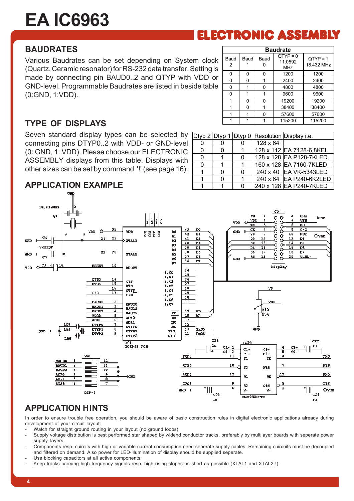## ELECTRONIC ASSEMBLY

#### **BAUDRATES**

Various Baudrates can be set depending on System clock (Quartz, Ceramic resonator) for RS-232 data transfer. Setting is made by connecting pin BAUD0..2 and QTYP with VDD or GND-level. Programmable Baudrates are listed in beside table (0:GND, 1:VDD).

|        |           |      |      | <b>Baudrate</b>                     |                          |
|--------|-----------|------|------|-------------------------------------|--------------------------|
| ¢<br>ś | Baud<br>2 | Baud | Baud | $QTYP = 0$<br>11.0592<br><b>MHz</b> | $QTYP = 1$<br>18.432 MHz |
|        | 0         | ŋ    | 0    | 1200                                | 1200                     |
| r      | 0         | ŋ    |      | 2400                                | 2400                     |
| €      | 0         |      | 0    | 4800                                | 4800                     |
|        | 0         |      | 1    | 9600                                | 9600                     |
|        |           | 0    | 0    | 19200                               | 19200                    |
|        |           | ŋ    |      | 38400                               | 38400                    |
|        | 1         |      | 0    | 57600                               | 57600                    |
|        |           |      |      | 115200                              | 115200                   |

#### **TYPE OF DISPLAYS**

Seven standard display types can be selected by connecting pins DTYP0..2 with VDD- or GND-level (0: GND, 1: VDD). Please choose our ELECTRONIC ASSEMBLY displays from this table. Displays with other sizes can be set by command '!' (see page 16).

|  |   |          | Dtyp 2 Dtyp 1 Dtyp 0 Resolution Display i.e. |
|--|---|----------|----------------------------------------------|
|  | 0 | 128 x 64 |                                              |
|  |   |          | 128 x 112 EA 7128-6,8KEL                     |
|  | 0 |          | 128 x 128 EA P128-7KLED                      |
|  |   |          | 160 x 128 EA 7160-7KLED                      |
|  | ŋ |          | 240 x 40 EA VK-5343LED                       |
|  |   |          | 240 x 64 EA P240-6K2LED                      |
|  | ŋ |          | 240 x 128 EA P240-7KLED                      |

#### **APPLICATION EXAMPLE**



#### **APPLICATION HINTS**

In order to ensure trouble free operation, you should be aware of basic construction rules in digital electronic applications already during development of your circuit layout:

Watch for straight ground routing in your layout (no ground loops)

- Supply voltage distribution is best performed star shaped by widend conductor tracks, preferably by multilayer boards with seperate power supply layers.
- Components resp. cuircits with high or variable current consumption need seperate supply cables. Remaining cuircuits must be decoupled and filtered on demand. Also power for LED-illumination of display should be supplied seperate.
- Use blocking capacitors at all active components.
- Keep tracks carrying high frequency signals resp. high rising slopes as short as possible (XTAL1 and XTAL2 !)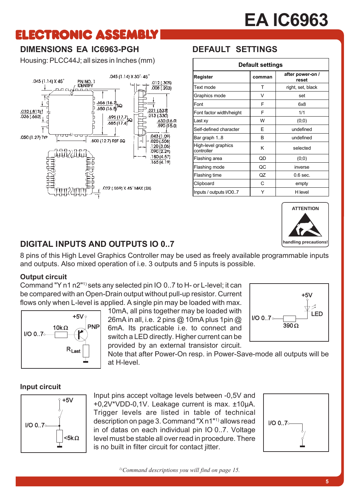## **ELECTRONIC ASSEMBLY**

## **DIMENSIONS EA IC6963-PGH**

Housing: PLCC44J; all sizes in Inches (mm)



## **DEFAULT SETTINGS**

|                                   | <b>Default settings</b> |                           |
|-----------------------------------|-------------------------|---------------------------|
| Register                          | comman                  | after power-on /<br>reset |
| Text mode                         | т                       | right, set, black         |
| Graphics mode                     | v                       | set                       |
| Font                              | F                       | 6x8                       |
| Font factor width/height          | F                       | 1/1                       |
| Last xy                           | W                       | (0;0)                     |
| Self-defined character            | F                       | undefined                 |
| Bar graph 18                      | B                       | undefined                 |
| High-level graphics<br>controller | ĸ                       | selected                  |
| Flashing area                     | QD                      | (0;0)                     |
| Flashing mode                     | QC                      | inverse                   |
| Flashing time                     | QZ                      | $0.6$ sec.                |
| Clipboard                         | C                       | empty                     |
| Inputs / outputs I/O07            | Y                       | H level                   |

 $I/O$  0..7 $\circ$ 



LED.

## **DIGITAL INPUTS AND OUTPUTS IO 0..7**

8 pins of this High Level Graphics Controller may be used as freely available programmable inputs and outputs. Also mixed operation of i.e. 3 outputs and 5 inputs is possible.

#### **Output circuit**

Command "Y n1 n2"1) sets any selected pin IO 0..7 to H- or L-level; it can be compared with an Open-Drain output without pull-up resistor. Current flows only when L-level is applied. A single pin may be loaded with max.



10mA, all pins together may be loaded with 26mA in all, i.e. 2 pins @ 10mA plus 1 pin @ 6mA. Its practicable i.e. to connect and switch a LED directly. Higher current can be provided by an external transistor circuit.

Note that after Power-On resp. in Power-Save-mode all outputs will be at H-level.

#### **Input circuit**



Input pins accept voltage levels between -0,5V and +0,2V\*VDD-0,1V. Leakage current is max. ±10µA. Trigger levels are listed in table of technical description on page 3. Command "X n1"1) allows read in of datas on each individual pin IO 0..7. Voltage level must be stable all over read in procedure. There is no built in filter circuit for contact jitter.



 $390\,\Omega$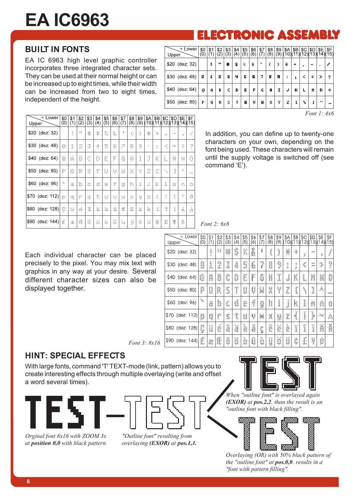# **ELECTRONIC ASSEMBLY**

#### **BUILT IN FONTS**

EA IC 6963 high level graphic controller incorporates three integrated character sets. They can be used at their normal height or can be increased up to eight times, while their width can be increased from two to eight times, independent of the height.

| + Lower<br>Upper | \$0<br>Ô | \$1<br>(1) | $\frac{$2}{2}$ | $\frac{$3}{(3)}$ | \$4<br>(4) | \$5<br>(5) | \$6<br>(6) | \$7 | $^{88}_{(8)}$ | \$9<br>9) | \$A<br>(10)(11)(12)(13)(14)(15) | \$B | \$C        | \$D      | \$E | \$F      |
|------------------|----------|------------|----------------|------------------|------------|------------|------------|-----|---------------|-----------|---------------------------------|-----|------------|----------|-----|----------|
| \$20 (dez: 32)   |          | Ţ          | $\mathbf{u}$   | 4                | 5          | k,         | ÷,         | ٠   | ¢             | J.        | ¥.                              | ÷   | ٠          | $\cdots$ |     | r.       |
| \$30 (dez: 48)   | IJ       | 1.         | e              | я                | ч          | 5          | Б          | 7.  | H             | 9         | ÷                               | ٠   | $\epsilon$ | m        | y.  | ÷        |
| \$40 (dez: 64)   | Ű        | Ĥ          | Ŀ.             | ¢                | Þ          | E          | F          | Ű   | н             | T         | J                               | н   | L.         | H        | n   | Ù.       |
| \$50 (dez: 80)   | p.       | Ů,         | R              | s                | T          | IJ         | IJ         | И   | М             | Y         | 2                               | Ľ   | ъ.         | 1        | ÷.  | $\cdots$ |

*Font 1: 4x6*

| + Lower<br>Upper | \$0<br>(0)    | \$1<br>(1)     | \$2<br>(2)            | \$3<br>$\left(3\right)$           | \$4<br>$\vec{(4)}$ | \$5<br>(5)          | \$6<br>(6)     | \$7<br>(7)                  | \$8<br>(8) | \$9<br>(9) | \$A           | \$Β | \$C                | \$D.<br>(10)(11)(12)(13)(14)(15) | \$E    | \$F           |
|------------------|---------------|----------------|-----------------------|-----------------------------------|--------------------|---------------------|----------------|-----------------------------|------------|------------|---------------|-----|--------------------|----------------------------------|--------|---------------|
| \$20 (dez: 32)   |               | İ              | Ħ                     | 4þ                                | Ś,                 | 21                  | å,             | Ĵ.                          | $\epsilon$ | ý.         | $\frac{1}{2}$ | 4.  | Ĵ.                 | ---                              | ÷.     | $\mathcal{F}$ |
| $$30$ (dez: 48)  | Ø             | 1              | 2                     | 3                                 | 4                  | 5                   | ć,             | 7                           | G          | 9          | ÷             | Î.  | k,                 | $\mathbb{R}^n$                   | ò,     | $\gamma$      |
| \$40 (dez: 64)   | $\mathcal{C}$ | ¢,             | B                     | $\mathcal{L}^{\mathcal{L}}$<br>L. | D                  | <b>COLLECT</b><br>Е | $\cdots$<br>ŀ. | Ġ                           | H          | ľ          | Ĵ             | K   | L                  | M                                | N      | O             |
| \$50 (dez: 80)   | P             | Q              | R                     | S                                 | T                  | U                   | U              | W                           | X          | Υ          | 2             | Ľ   | $\gamma_{\rm{in}}$ | Ō.                               | $\sim$ | $\cdots$      |
| \$60 (dez: 96)   | ۹.            | ä.             | Ь                     | Ċ.                                | d                  | $\mathcal{C}$       | $\frac{1}{2}$  | 9                           | h          | i          | Ĵ             | k   | Ï                  | m                                | P.     | $\mathcal{O}$ |
| \$70 (dez: 112)  | K.            | $\mathbb{C}^n$ | ŗ.                    | Ś.                                | ÷                  | u                   | v              | $\mathcal{L}_{\mathcal{L}}$ | X          | Ħ          | z.            | Ċ   | ŧ                  | Y                                | $\sim$ | Ō.            |
| \$80 (dez: 128)  | C             | $\mathcal{L}$  | $\bullet\bullet$<br>é | ä                                 | ä                  | à                   | á              | ¢,                          | ē          | à.         | ē             | ï   | Ť                  | Ĩ.                               | Ä      | À             |
| \$90 (dez: 144)  | É             | ä.             | Æ                     | S                                 | Ġ,                 | ò,                  | û              | ù.                          | ÿ          | ò,         | Ù             | ¢.  | £.                 | ¥                                | ß      |               |

In addition, you can define up to twenty-one characters on your own, depending on the font being used. These characters will remain until the supply voltage is switched off (see command 'E').

| Font 2: 6x8 |  |
|-------------|--|
|             |  |

Each individual character can be placed precisely to the pixel. You may mix text with graphics in any way at your desire. Several different character sizes can also be displayed together.

| $+$<br>Lower<br>Upper | \$0<br>lO. | \$1<br>$\mathfrak{g}$ | \$2<br>(2) | \$3<br>3   | \$4<br>(4) | \$5<br>[5]       | \$6<br>6)         | \$7<br>(7) | \$8<br>(8)       | \$9<br>(9)       | \$A<br>[(10)(11)(12)(1) | \$B             | \$C           | \$D        | \$E<br>3 (14) (15) | \$F                       |
|-----------------------|------------|-----------------------|------------|------------|------------|------------------|-------------------|------------|------------------|------------------|-------------------------|-----------------|---------------|------------|--------------------|---------------------------|
| $$20$ (dez: 32)       |            | l<br>$\blacksquare$   | 88         | 8          | \$         | y.               | Å                 | I          | ĺ                | Ì                | ¥                       | $\Phi^{\prime}$ | Ħ             | 1010       | E                  | $\mathcal{E}$             |
| $$30$ (dez: 48)       | 8          | 1                     | 7          | 3          | 4          | <b>IRRI</b><br>5 | ď.<br>u           | ,,,,<br>7  | 8                | 9                | I                       | ļ               | $\mathcal{L}$ | шш<br>:::: | Ĵ,                 | 7<br>$\ddot{\phantom{a}}$ |
| \$40 (dez: 64)        | ē          | Ĥ                     | Ď          | C          | D          | C<br>ı.          | F                 | G          | H                | I                | J                       | K               | L             | M          | N                  | O                         |
| \$50 (dez: 80)        | p          | O                     | R          | S          | T          | U                | V                 | μ          | X                | Υ                | Z                       | Ľ               | ١             | 1          | ý.                 | 12121                     |
| \$60 (dez: 96)        | ۹.         | a.<br>ŦЖ              | b          | C.         | d          | m<br>Æ.          | f                 | g          | h                | i                | j                       | k               | l             | m          | n                  | O                         |
| \$70 (dez: 112)       | p          | q                     | P          | S          | t          | ű                | V                 | W          | X                | y                | Z                       | £<br>1          | l             | ŀ          | Pat                | Δ                         |
| \$80 (dez: 128)       | Ç          | $\mathbf{u}$<br>ü     | ä.<br>e    | aFa<br>ä   | . .<br>ä   | ٠.<br>nn.<br>ā   | 40k<br>n i L<br>ē | Ç          | еñ.<br>ana.<br>e | <b>11 H</b><br>e | ۰.<br>e                 | . .<br>ı        | еñ.<br>Ï      | ۰.<br>İ    | Ă                  | Å                         |
| \$90 (dez: 144)       | ć<br>Е.    | æ                     | Æ          | والتو<br>Ö | . .<br>Ö   | ٠.<br>Ó          | $\sim$<br>ü       | ٦.<br>Ú    | 11.11<br>ÿ       | 88<br>Ö          | ü                       | ¢               | £             | ¥          | β                  |                           |

#### **HINT: SPECIAL EFFECTS**

With large fonts, command 'T' TEXT-mode (link, pattern) allows you to create interesting effects through multiple overlaying (write and offset a word several times).

*Font 3: 8x16*



*Orginal font 8x16 with ZOOM 3x at position 0,0 with black pattern.*

*"Outline font" resulting from overlaying (EXOR) at pos.1,1.*

*When "outline font" is overlayed again (EXOR) at pos.2,2. than the result is an "outline font with black filling".*



*Overlaying (OR) with 50% black pattern of the "outline font" at pos.0,0. results in a "font with pattern filling".*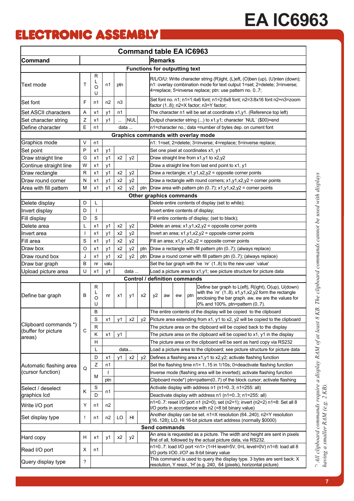## **ELECTRONIC ASSEMBLY**

|                                              |              |                  |                |                |                |     |                                                                        |    |    |     | <b>Command table EA IC6963</b>                                                                                                                                                                                      |  |  |  |  |
|----------------------------------------------|--------------|------------------|----------------|----------------|----------------|-----|------------------------------------------------------------------------|----|----|-----|---------------------------------------------------------------------------------------------------------------------------------------------------------------------------------------------------------------------|--|--|--|--|
| Command                                      |              |                  |                |                |                |     | <b>Remarks</b>                                                         |    |    |     |                                                                                                                                                                                                                     |  |  |  |  |
|                                              |              |                  |                |                |                |     | <b>Functions for outputting text</b>                                   |    |    |     |                                                                                                                                                                                                                     |  |  |  |  |
| Text mode                                    | Τ            | R<br>L<br>O<br>U | n1             | ptn            |                |     |                                                                        |    |    |     | R/L/O/U: Write character string (R)ight, (L)eft, (O)ben (up), (U)nten (down);<br>n1: overlay combination mode for text output 1=set; 2=delete; 3=inverse;<br>4=replace; 5=inverse replace; ptn: use pattern no. 07; |  |  |  |  |
| Set font                                     | F            | n1               | n <sub>2</sub> | n <sub>3</sub> |                |     |                                                                        |    |    |     | Set font no. n1;    n1=1:4x6 font;    n1=2:6x8 font;    n2=3:8x16 font n2+n3=zoom<br>factor (18); n2=X factor; n3=Y factor;                                                                                         |  |  |  |  |
| Set ASCII characters                         | Α            | x1               | y1             | n1             |                |     | The character n1 will be set at coordinate x1,y1. (Reference top left) |    |    |     |                                                                                                                                                                                                                     |  |  |  |  |
| Set character string                         | Z            | x1               | y1             |                | <b>NUL</b>     |     |                                                                        |    |    |     | Output character string () to x1,y1; character 'NUL' (\$00)=end                                                                                                                                                     |  |  |  |  |
| Define character                             | $\mathsf E$  | n1               |                | data           |                |     |                                                                        |    |    |     | n1=character no .; data =number of bytes dep. on current font                                                                                                                                                       |  |  |  |  |
|                                              |              |                  |                |                |                |     |                                                                        |    |    |     | Graphics commands with overlay mode                                                                                                                                                                                 |  |  |  |  |
| Graphics mode                                | V            | n1               |                |                |                |     |                                                                        |    |    |     | n1: 1=set; 2=delete; 3=inverse; 4=replace; 5=inverse replace;                                                                                                                                                       |  |  |  |  |
| Set point                                    | P            | x1               | y1             |                |                |     |                                                                        |    |    |     | Set one pixel at coordinates x1, y1                                                                                                                                                                                 |  |  |  |  |
| Draw straight line                           | G            | x1               | y1             | x2             | y <sub>2</sub> |     |                                                                        |    |    |     | Draw straight line from x1,y1 to x2,y2                                                                                                                                                                              |  |  |  |  |
| Continue straight line                       | W            | x1               | y1             |                |                |     |                                                                        |    |    |     | Draw a straight line from last end point to x1, y1                                                                                                                                                                  |  |  |  |  |
| Draw rectangle                               | $\mathsf{R}$ | x1               | y1             | x2             | y <sub>2</sub> |     |                                                                        |    |    |     | Draw a rectangle; x1,y1,x2,y2 = opposite corner points                                                                                                                                                              |  |  |  |  |
| Draw round corner                            | N            | x1               | y1             | x2             | y <sub>2</sub> |     |                                                                        |    |    |     | Draw a rectangle with round corners; $x1, y1, x2, y2$ = corner points                                                                                                                                               |  |  |  |  |
| Area with fill pattern                       | М            | x1               | y1             | x2             | y2             | ptn |                                                                        |    |    |     | Draw area with pattern ptn $(07)$ ; x1,y1,x2,y2 = corner points                                                                                                                                                     |  |  |  |  |
|                                              |              |                  |                |                |                |     | Other graphics commands                                                |    |    |     |                                                                                                                                                                                                                     |  |  |  |  |
| Delete display                               | D            | L                |                |                |                |     |                                                                        |    |    |     | Delete entire contents of display (set to white);                                                                                                                                                                   |  |  |  |  |
| Invert display                               | D            | ı                |                |                |                |     |                                                                        |    |    |     | Invert entire contents of display;                                                                                                                                                                                  |  |  |  |  |
| Fill display                                 | D            | $\mathbf S$      |                |                |                |     |                                                                        |    |    |     | Fill entire contents of display; (set to black);                                                                                                                                                                    |  |  |  |  |
| Delete area                                  | L            | x1               | y1             | x2             | y2             |     |                                                                        |    |    |     | Delete an area; $x1, y1, x2, y2$ = opposite corner points                                                                                                                                                           |  |  |  |  |
| Invert area                                  |              | x1               | y1             | x2             | y <sub>2</sub> |     |                                                                        |    |    |     | Invert an area; $x1,y1,x2,y2$ = opposite corner points                                                                                                                                                              |  |  |  |  |
| Fill area                                    | S            | х1               | y1             | x2             | y <sub>2</sub> |     | Fill an area; $x1, y1, x2, y2 =$ opposite corner points                |    |    |     |                                                                                                                                                                                                                     |  |  |  |  |
| Draw box                                     | $\circ$      | x1               | y1             | x2             | y2             | ptn |                                                                        |    |    |     | Draw a rectangle with fill pattern ptn (07); (always replace)                                                                                                                                                       |  |  |  |  |
| Draw round box                               | J            | x1               | y1             | x2             | y <sub>2</sub> | ptn |                                                                        |    |    |     | Draw a round corner with fill pattern ptn (07); (always replace)                                                                                                                                                    |  |  |  |  |
| Draw bar graph                               | B            | nr               | valu           |                |                |     |                                                                        |    |    |     | Set the bar graph with the 'nr' (1.8) to the new user 'value'                                                                                                                                                       |  |  |  |  |
| Upload picture area                          | U            | x1               | y1             |                | data           |     |                                                                        |    |    |     | Load a picture area to $x1, y1$ ; see picture structure for picture data                                                                                                                                            |  |  |  |  |
|                                              |              |                  |                |                |                |     | Control / definition commands                                          |    |    |     |                                                                                                                                                                                                                     |  |  |  |  |
| Define bar graph                             | В            | R<br>L<br>O<br>U | nr             | x1             | y1             | x2  | y2                                                                     | aw | ew | ptn | Define bar graph to L(eft), R(ight), O(up), U(down)<br>with the 'nr' (1.8). x1,y1,x2,y2 form the rectangle<br>enclosing the bar graph. aw, ew are the values for<br>0% and 100%. ptn=pattern (07).                  |  |  |  |  |
|                                              |              | B                |                |                |                |     |                                                                        |    |    |     | The entire contents of the display will be copied to the clipboard                                                                                                                                                  |  |  |  |  |
|                                              |              | S                | x1             | y1             | x2             | у2  |                                                                        |    |    |     | Picture area extending from x1, y1 to x2, y2 will be copied to the clipboard                                                                                                                                        |  |  |  |  |
| Clipboard commands *)<br>(buffer for picture | $\mathsf{C}$ | ${\sf R}$        |                |                |                |     |                                                                        |    |    |     | The picture area on the clipboard will be copied back to the display                                                                                                                                                |  |  |  |  |
| areas)                                       |              | Κ                | x1             | y1             |                |     |                                                                        |    |    |     | The picture area on the clipboard will be copied to x1, y1 in the display                                                                                                                                           |  |  |  |  |
|                                              |              | н                |                |                |                |     |                                                                        |    |    |     | The picture area on the clipboard will be sent as hard copy via RS232                                                                                                                                               |  |  |  |  |
|                                              |              | L                |                | data           |                |     |                                                                        |    |    |     | Load a picture area to the clipboard; see picture structure for picture data                                                                                                                                        |  |  |  |  |
|                                              |              | D                | x1             | y1             | x2             | y2  |                                                                        |    |    |     | Defines a flashing area x1,y1 to x2,y2; activate flashing function                                                                                                                                                  |  |  |  |  |
| Automatic flashing area                      | Q            | Ζ                | n1             |                |                |     |                                                                        |    |    |     | Set the flashing time n1= 115 in 1/10s; 0=deactivate flashing function                                                                                                                                              |  |  |  |  |
| (cursor function)                            |              | М                |                |                |                |     |                                                                        |    |    |     | Inverse mode (flashing area will be inverted); activate flashing function                                                                                                                                           |  |  |  |  |
|                                              |              |                  | ptn            |                |                |     |                                                                        |    |    |     | Clipboard mode*) ptn=pattern(07) of the block cursor; activate flashing                                                                                                                                             |  |  |  |  |
| Select / deselect                            | Κ            | S                | n1             |                |                |     |                                                                        |    |    |     | Activate display with address n1 (n1=03; n1=255: all)                                                                                                                                                               |  |  |  |  |
| graphics Icd                                 |              | D                |                |                |                |     |                                                                        |    |    |     | Deactivate display with address n1 (n1=03; n1=255: all)                                                                                                                                                             |  |  |  |  |
| Write I/O port                               | Y            | n1               | n2             |                |                |     |                                                                        |    |    |     | n1=07: reset I/O port n1 (n2=0); set (n2=1); invert (n2=2) n1=8: Set all 8<br>I/O ports in accordance with n2 (=8 bit binary value)                                                                                 |  |  |  |  |
| Set display type                             | Ţ            | n1               | n2             | LO             | HL             |     |                                                                        |    |    |     | Another display can be set. n1=X resolution (64240); n2=Y resolution<br>(16.128); LO, HI 16-bit picture start address (normally \$0000)                                                                             |  |  |  |  |
|                                              |              |                  |                |                |                |     | <b>Send commands</b>                                                   |    |    |     |                                                                                                                                                                                                                     |  |  |  |  |
|                                              | н            | x1               |                |                |                |     |                                                                        |    |    |     | An area is requested as a picture. The width and height are sent in pixels                                                                                                                                          |  |  |  |  |
| Hard copy                                    |              |                  | y1             | x2             | y2             |     |                                                                        |    |    |     | first of all, followed by the actual picture data, via RS232.                                                                                                                                                       |  |  |  |  |
| Read I/O port                                | X            | n1               |                |                |                |     |                                                                        |    |    |     | n1=07: load I/O port <n1> (1=H level=5V, 0=L level=0V) n1=8: load all 8<br/>I/O ports I/O0I/O7 as 8-bit binary value</n1>                                                                                           |  |  |  |  |
| Query display type                           | ?            |                  |                |                |                |     |                                                                        |    |    |     | This command is used to query the display type. 3 bytes are sent back: X<br>resolution, Y resol., 'H' (e.g. 240, 64 (pixels), horizontal picture)                                                                   |  |  |  |  |

") All clipboard commands require a display RAM of at least 8 KB. The clipboard commands cannot be used with displays<br>having a smaller RAM (e.g. 2 KB). *\*) All clipboard commands require a display RAM of at least 8 KB. The clipboard commands cannot be used with displays having a smaller RAM (e.g. 2 KB).*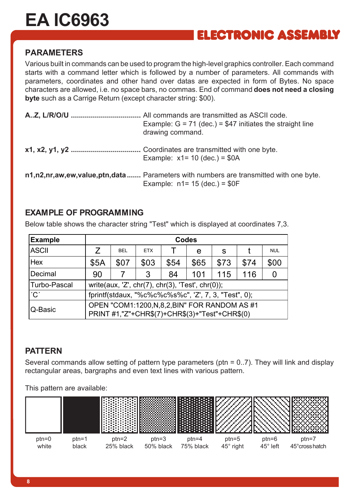## **ELECTRONIC ASSEMBLY**

#### **PARAMETERS**

Various built in commands can be used to program the high-level graphics controller. Each command starts with a command letter which is followed by a number of parameters. All commands with parameters, coordinates and other hand over datas are expected in form of Bytes. No space characters are allowed, i.e. no space bars, no commas. End of command **does not need a closing byte** such as a Carrige Return (except character string: \$00).

| Example: $G = 71$ (dec.) = \$47 initiates the straight line<br>drawing command.                                           |
|---------------------------------------------------------------------------------------------------------------------------|
| Example: $x1 = 10$ (dec.) = \$0A                                                                                          |
| n1,n2,nr,aw,ew,value,ptn,data  Parameters with numbers are transmitted with one byte.<br>Example: $n1 = 15$ (dec.) = \$0F |

#### **EXAMPLE OF PROGRAMMING**

Below table shows the character string "Test" which is displayed at coordinates 7,3.

| <b>Example</b>            | <b>Codes</b><br>7<br><b>BEL</b><br><b>ETX</b><br>S<br>e<br>\$65<br>\$03<br>\$07<br>\$73<br>\$74<br><b>\$5A</b><br>\$54 |  |                                                                                                   |    |     |     |     |            |  |  |  |  |  |
|---------------------------|------------------------------------------------------------------------------------------------------------------------|--|---------------------------------------------------------------------------------------------------|----|-----|-----|-----|------------|--|--|--|--|--|
| <b>ASCII</b>              |                                                                                                                        |  |                                                                                                   |    |     |     |     | <b>NUL</b> |  |  |  |  |  |
| Hex                       |                                                                                                                        |  |                                                                                                   |    |     |     |     | \$00       |  |  |  |  |  |
| Decimal                   | 90                                                                                                                     |  | 3                                                                                                 | 84 | 101 | 115 | 116 |            |  |  |  |  |  |
| Turbo-Pascal              |                                                                                                                        |  | write(aux, 'Z', chr(7), chr(3), 'Test', chr(0));                                                  |    |     |     |     |            |  |  |  |  |  |
| $^{\prime}$ C $^{\prime}$ |                                                                                                                        |  | fprintf(stdaux, "%c%c%c%s%c", 'Z', 7, 3, "Test", 0);                                              |    |     |     |     |            |  |  |  |  |  |
| Q-Basic                   |                                                                                                                        |  | OPEN "COM1:1200, N, 8, 2, BIN" FOR RANDOM AS #1<br>PRINT #1,"Z"+CHR\$(7)+CHR\$(3)+"Test"+CHR\$(0) |    |     |     |     |            |  |  |  |  |  |

#### **PATTERN**

Several commands allow setting of pattern type parameters (ptn = 0..7). They will link and display rectangular areas, bargraphs and even text lines with various pattern.

This pattern are available:

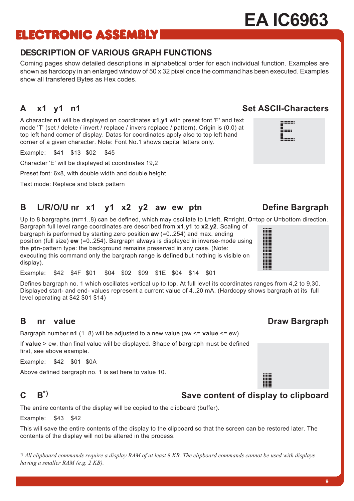# **ELECTRONIC ASSEMBLY**

## **DESCRIPTION OF VARIOUS GRAPH FUNCTIONS**

Coming pages show detailed descriptions in alphabetical order for each individual function. Examples are shown as hardcopy in an enlarged window of 50 x 32 pixel once the command has been executed. Examples show all transfered Bytes as Hex codes.

A character **n1** will be displayed on coordinates **x1**,**y1** with preset font 'F' and text mode 'T' (set / delete / invert / replace / invers replace / pattern). Origin is (0,0) at top left hand corner of display. Datas for coordinates apply also to top left hand corner of a given character. Note: Font No.1 shows capital letters only.

Example: \$41 \$13 \$02 \$45

Character 'E' will be displayed at coordinates 19,2

Preset font: 6x8, with double width and double height

Text mode: Replace and black pattern

## **B L/R/O/U nr x1 y1 x2 y2 aw ew ptn Define Bargraph**

Up to 8 bargraphs (**nr**=1..8) can be defined, which may oscillate to **L**=left, **R**=right, **O**=top or **U**=bottom direction. Bargraph full level range coordinates are described from **x1**,**y1** to **x2**,**y2**. Scaling of bargraph is performed by starting zero position **aw** (=0..254) and max. ending position (full size) **ew** (=0..254). Bargraph always is displayed in inverse-mode using the **ptn-**pattern type: the background remains preserved in any case. (Note:

executing this command only the bargraph range is defined but nothing is visible on display).

Example: \$42 \$4F \$01 \$04 \$02 \$09 \$1E \$04 \$14 \$01

Defines bargraph no. 1 which oscillates vertical up to top. At full level its coordinates ranges from 4,2 to 9,30. Displayed start- and end- values represent a current value of 4..20 mA. (Hardcopy shows bargraph at its full level operating at \$42 \$01 \$14)

## **B** nr value **Draw Bargraph**

Bargraph number **n1** (1..8) will be adjusted to a new value (aw <= **value** <= ew).

If **value** > ew, than final value will be displayed. Shape of bargraph must be defined first, see above example.

Example: \$42 \$01 \$0A

Above defined bargraph no. 1 is set here to value 10.

## **C B\*) Save content of display to clipboard**

The entire contents of the display will be copied to the clipboard (buffer).

Example: \$43 \$42

This will save the entire contents of the display to the clipboard so that the screen can be restored later. The contents of the display will not be altered in the process.

*\*) All clipboard commands require a display RAM of at least 8 KB. The clipboard commands cannot be used with displays having a smaller RAM (e.g. 2 KB).*

## **A x1 y1 n1 Set ASCII-Characters**

.......... <u>||......</u> iimuu





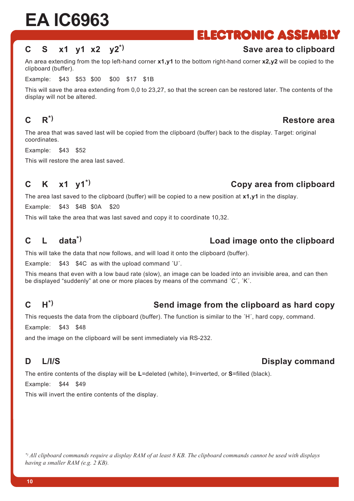## **ELECTRONIC ASSEMBLY**

## **C S x1 y1 x2 y2\*) Save area to clipboard**

An area extending from the top left-hand corner **x1,y1** to the bottom right-hand corner **x2,y2** will be copied to the clipboard (buffer).

Example: \$43 \$53 \$00 \$00 \$17 \$1B

This will save the area extending from 0,0 to 23,27, so that the screen can be restored later. The contents of the display will not be altered.

The area that was saved last will be copied from the clipboard (buffer) back to the display. Target: original coordinates.

Example: \$43 \$52

This will restore the area last saved.

#### **C K x1 y1\*) Copy area from clipboard**

The area last saved to the clipboard (buffer) will be copied to a new position at **x1,y1** in the display.

Example: \$43 \$4B \$0A \$20

This will take the area that was last saved and copy it to coordinate 10,32.

#### **C L data\*) Load image onto the clipboard**

This will take the data that now follows, and will load it onto the clipboard (buffer).

Example:  $$43$   $$4C$  as with the upload command 'U'.

This means that even with a low baud rate (slow), an image can be loaded into an invisible area, and can then be displayed "suddenly" at one or more places by means of the command  $'C', 'K'.$ 

## **C H\*) Send image from the clipboard as hard copy**

This requests the data from the clipboard (buffer). The function is similar to the  $H'$ , hard copy, command.

Example: \$43 \$48

and the image on the clipboard will be sent immediately via RS-232.

The entire contents of the display will be **L**=deleted (white), **I**=inverted, or **S**=filled (black).

Example: \$44 \$49

This will invert the entire contents of the display.

*\*) All clipboard commands require a display RAM of at least 8 KB. The clipboard commands cannot be used with displays having a smaller RAM (e.g. 2 KB).*

## **C R\*) Restore area**

## **D** L/I/S Display command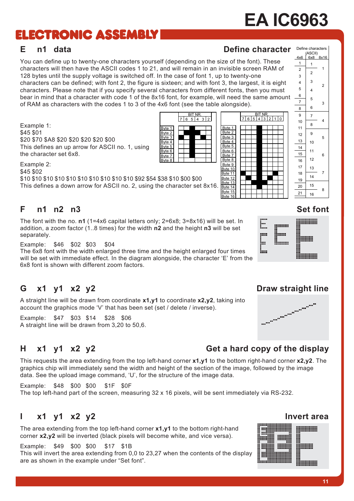## **ELECTRONIC ASSEMBLY**

#### **E** n1 data **Define character** Define character Define characters

BIT NR. 7 6 5 4 3 2 1 0

You can define up to twenty-one characters yourself (depending on the size of the font). These characters will then have the ASCII codes 1 to 21, and will remain in an invisible screen RAM of 128 bytes until the supply voltage is switched off. In the case of font 1, up to twenty-one characters can be defined; with font 2, the figure is sixteen; and with font 3, the largest, it is eight characters. Please note that if you specify several characters from different fonts, then you must bear in mind that a character with code 1 of the 8x16 font, for example, will need the same amount of RAM as characters with the codes 1 to 3 of the 4x6 font (see the table alongside).

> Byte 1 Byte 2 Byte 3  $B$ yte  $4$ Byte 5 Byte 6 Byte 7 Byte 8

**BIT NR**  $765432$ 

> Byte 1 Byte 2 Byte 3 Byte 4 Byte 5 Byte 6 Byte 7 Byte 8 Byte 9 Byte 10 Byte 11 Byte 12 Byte 13 Byte 14 Byte 15 Byte 16

Example 1: \$45 \$01 \$20 \$70 \$A8 \$20 \$20 \$20 \$20 \$00 This defines an up arrow for ASCII no. 1, using the character set 6x8.

Example 2: \$45 \$02

\$10 \$10 \$10 \$10 \$10 \$10 \$10 \$10 \$10 \$10 \$92 \$54 \$38 \$10 \$00 \$00 This defines a down arrow for ASCII no. 2, using the character set 8x16.

#### **F n1 n2 n3 Set font**

The font with the no. **n1** (1=4x6 capital letters only; 2=6x8; 3=8x16) will be set. In addition, a zoom factor (1..8 times) for the width **n2** and the height **n3** will be set separately.

Example: \$46 \$02 \$03 \$04

The 6x8 font with the width enlarged three time and the height enlarged four times will be set with immediate effect. In the diagram alongside, the character  $E$  from the 6x8 font is shown with different zoom factors.

## G x1 y1 x2 y2 Draw straight line

A straight line will be drawn from coordinate **x1,y1** to coordinate **x2,y2**, taking into account the graphics mode 'V' that has been set (set / delete / inverse).

Example: \$47 \$03 \$14 \$28 \$06 A straight line will be drawn from 3,20 to 50,6.

## **H x1 y1 x2 y2 Get a hard copy of the display**

This requests the area extending from the top left-hand corner **x1,y1** to the bottom right-hand corner **x2,y2**. The graphics chip will immediately send the width and height of the section of the image, followed by the image data. See the upload image command, 'U', for the structure of the image data.

Example: \$48 \$00 \$00 \$1F \$0F The top left-hand part of the screen, measuring 32 x 16 pixels, will be sent immediately via RS-232.

#### **I** x1 y1 x2 y2 **Invert** area

The area extending from the top left-hand corner **x1,y1** to the bottom right-hand corner **x2,y2** will be inverted (black pixels will become white, and vice versa).

Example: \$49 \$00 \$00 \$17 \$1B This will invert the area extending from 0,0 to 23,27 when the contents of the display are as shown in the example under "Set font".



(ASCII)<br>L 6x8  $4x6$   $6x8$   $8x16$ 



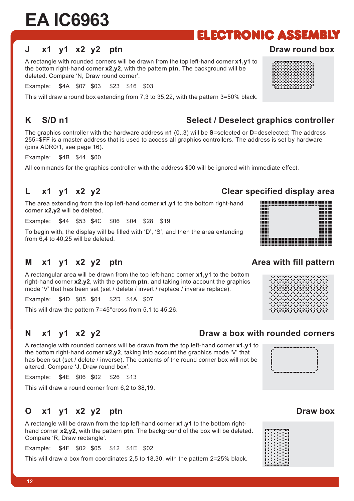#### **J** x1 v1 x2 v2 ptn **Draw round box**

A rectangle with rounded corners will be drawn from the top left-hand corner **x1,y1** to the bottom right-hand corner **x2,y2**, with the pattern **ptn**. The background will be deleted. Compare 'N, Draw round corner'.

Example: \$4A \$07 \$03 \$23 \$16 \$03

This will draw a round box extending from 7,3 to 35,22, with the pattern 3=50% black.

The graphics controller with the hardware address **n1** (0..3) will be **S**=selected or **D**=deselected; The address 255=\$FF is a master address that is used to access all graphics controllers. The address is set by hardware (pins ADR0/1, see page 16).

Example: \$4B \$44 \$00

All commands for the graphics controller with the address \$00 will be ignored with immediate effect.

#### **L x1 y1 x2 y2 Clear specified display area**

The area extending from the top left-hand corner **x1,y1** to the bottom right-hand corner **x2,y2** will be deleted.

Example: \$44 \$53 \$4C \$06 \$04 \$28 \$19

To begin with, the display will be filled with 'D', 'S', and then the area extending from 6,4 to 40,25 will be deleted.

#### **M** x1 y1 x2 y2 ptn **Area with fill pattern**

A rectangular area will be drawn from the top left-hand corner **x1,y1** to the bottom right-hand corner **x2,y2**, with the pattern **ptn**, and taking into account the graphics mode 'V' that has been set (set / delete / invert / replace / inverse replace).

Example: \$4D \$05 \$01 \$2D \$1A \$07

This will draw the pattern 7=45°cross from 5,1 to 45,26.

#### **N x1 y1 x2 y2 Draw a box with rounded corners**

A rectangle with rounded corners will be drawn from the top left-hand corner **x1,y1** to the bottom right-hand corner  $x2,y2$ , taking into account the graphics mode 'V' that has been set (set / delete / inverse). The contents of the round corner box will not be altered. Compare 'J, Draw round box'.

Example: \$4E \$06 \$02 \$26 \$13

This will draw a round corner from 6,2 to 38,19.

#### **O** x1 y1 x2 y2 ptn Draw box

A rectangle will be drawn from the top left-hand corner **x1,y1** to the bottom righthand corner **x2,y2**, with the pattern **ptn**. The background of the box will be deleted. Compare 'R, Draw rectangle'.

Example: \$4F \$02 \$05 \$12 \$1E \$02

This will draw a box from coordinates 2,5 to 18,30, with the pattern 2=25% black.

#### K S/D n1 Select / Deselect graphics controller



**ELECTRONIC ASSEMBLY** 





18888888





₩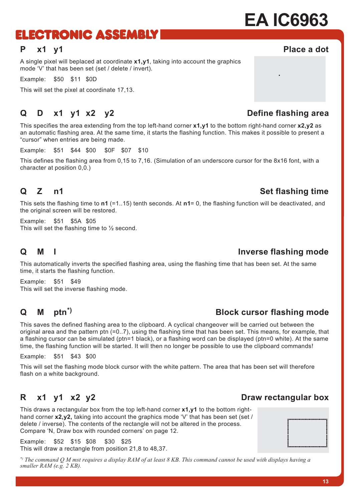## ELECTRONIC ASSEMBLY

#### **P x1 y1 Place a dot**

A single pixel will beplaced at coordinate **x1,y1**, taking into account the graphics mode 'V' that has been set (set / delete / invert).

Example: \$50 \$11 \$0D

This will set the pixel at coordinate 17,13.

#### **Q** D x1 y1 x2 y2 Define flashing area

This specifies the area extending from the top left-hand corner **x1,y1** to the bottom right-hand corner **x2,y2** as an automatic flashing area. At the same time, it starts the flashing function. This makes it possible to present a "cursor" when entries are being made.

Example: \$51 \$44 \$00 \$0F \$07 \$10

This defines the flashing area from 0,15 to 7,16. (Simulation of an underscore cursor for the 8x16 font, with a character at position 0,0.)

This sets the flashing time to **n1** (=1..15) tenth seconds. At **n1**= 0, the flashing function will be deactivated, and the original screen will be restored.

Example: \$51 \$5A \$05 This will set the flashing time to  $\frac{1}{2}$  second.

#### **Q M** I **Inverse flashing mode**

This automatically inverts the specified flashing area, using the flashing time that has been set. At the same time, it starts the flashing function.

Example: \$51 \$49 This will set the inverse flashing mode.

This saves the defined flashing area to the clipboard. A cyclical changeover will be carried out between the original area and the pattern ptn (=0..7), using the flashing time that has been set. This means, for example, that a flashing cursor can be simulated (ptn=1 black), or a flashing word can be displayed (ptn=0 white). At the same time, the flashing function will be started. It will then no longer be possible to use the clipboard commands!

Example: \$51 \$43 \$00

This will set the flashing mode block cursor with the white pattern. The area that has been set will therefore flash on a white background.

This draws a rectangular box from the top left-hand corner **x1,y1** to the bottom righthand corner **x2,y2**, taking into account the graphics mode 'V' that has been set (set / delete / inverse). The contents of the rectangle will not be altered in the process. Compare 'N, Draw box with rounded corners' on page 12.

Example: \$52 \$15 \$08 \$30 \$25 This will draw a rectangle from position 21,8 to 48,37.

*\*) The command Q M mst requires a display RAM of at least 8 KB. This command cannot be used with displays having a smaller RAM (e.g. 2 KB).*

## **Q M ptn\*) Block cursor flashing mode**

## **R** x1 y1 x2 y2 **Draw rectangular box**

#### **Q** Z n1 Set flashing time



**13**

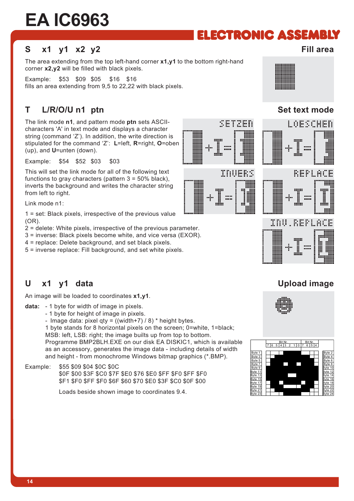## ELECTRONIC ASSEMBLY

cerpen

INUERS

 $\mathbf{m}$ 

:::::

#### **S x1 y1 x2 y2 Fill area**

The area extending from the top left-hand corner **x1,y1** to the bottom right-hand corner **x2,y2** will be filled with black pixels.

Example: \$53 \$09 \$05 \$16 \$16 fills an area extending from 9,5 to 22,22 with black pixels.

## **T** L/R/O/U n1 ptn Set text mode

The link mode **n1**, and pattern mode **ptn** sets ASCIIcharacters 'A' in text mode and displays a character string (command  $Z'$ ). In addition, the write direction is stipulated for the command ëZí: **L**=left, **R**=right, **O**=oben (up), and **U**=unten (down).

Example: \$54 \$52 \$03 \$03

This will set the link mode for all of the following text functions to gray characters (pattern  $3 = 50\%$  black), inverts the background and writes the character string from left to right.

Link mode n1:

1 = set: Black pixels, irrespective of the previous value (OR).

2 = delete: White pixels, irrespective of the previous parameter.

3 = inverse: Black pixels become white, and vice versa (EXOR).

4 = replace: Delete background, and set black pixels.

5 = inverse replace: Fill background, and set white pixels.

#### **U x1 y1 data Upload image**

 **14**

An image will be loaded to coordinates **x1,y1**.

**data:** - 1 byte for width of image in pixels.

- 1 byte for height of image in pixels.

- Image data: pixel qty =  $((width+7) / 8)$  \* height bytes.

1 byte stands for 8 horizontal pixels on the screen; 0=white, 1=black; MSB: left, LSB: right; the image builts up from top to bottom.

Programme BMP2BLH.EXE on our disk EA DISKIC1, which is available as an accessory, generates the image data - including details of width and height - from monochrome Windows bitmap graphics (\*.BMP).

Example: \$55 \$09 \$04 \$0C \$0C \$0F \$00 \$3F \$C0 \$7F \$E0 \$76 \$E0 \$FF \$F0 \$FF \$F0 \$F1 \$F0 \$FF \$F0 \$6F \$60 \$70 \$E0 \$3F \$C0 \$0F \$00

Loads beside shown image to coordinates 9.4.











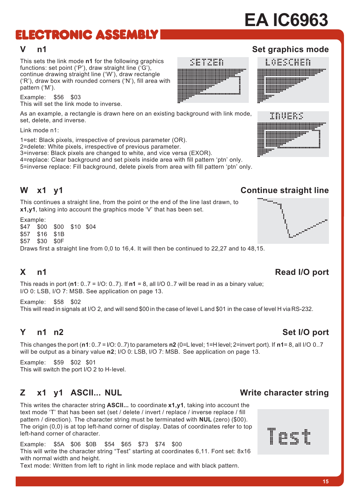# ELECTRONIC ASSEMBLY

This sets the link mode **n1** for the following graphics functions: set point ( $P'$ ), draw straight line ( $'G'$ ), continue drawing straight line ('W'), draw rectangle  $(F<sup>i</sup>)$ , draw box with rounded corners  $(F<sup>i</sup>)$ , fill area with pattern ('M').

Example: \$56 \$03 This will set the link mode to inverse.

As an example, a rectangle is drawn here on an existing background with link mode, set, delete, and inverse.

Link mode n1:

1=set: Black pixels, irrespective of previous parameter (OR).

2=delete: White pixels, irrespective of previous parameter.

3=inverse: Black pixels are changed to white, and vice versa (EXOR).

4=replace: Clear background and set pixels inside area with fill pattern 'ptn' only.

5=inverse replace: Fill background, delete pixels from area with fill pattern 'ptn' only.

This continues a straight line, from the point or the end of the line last drawn, to **x1,y1**, taking into account the graphics mode 'V' that has been set.

Example:

\$47 \$00 \$00 \$10 \$04 \$57 \$16 \$1B

\$57 \$30 \$0F

Draws first a straight line from 0,0 to 16,4. It will then be continued to 22,27 and to 48,15.

## **X** n1 Read I/O port

This reads in port (**n1**: 0..7 = I/O: 0..7). If **n1** = 8, all I/O 0..7 will be read in as a binary value; I/O 0: LSB, I/O 7: MSB. See application on page 13.

Example: \$58 \$02 This will read in signals at I/O 2, and will send \$00 in the case of level L and \$01 in the case of level H via RS-232.

#### **Y** and a n<sup>2</sup> Set I/O port

This changes the port (**n1**: 0..7 = I/O: 0..7) to parameters **n2** (0=L level; 1=H level; 2=invert port). If **n1**= 8, all I/O 0..7 will be output as a binary value **n2**; I/O 0: LSB, I/O 7: MSB. See application on page 13.

Example: \$59 \$02 \$01 This will switch the port I/O 2 to H- level.

## **Z** x1 y1 ASCII... NUL Write character string

This writes the character string **ASCII...** to coordinate **x1,y1**, taking into account the text mode 'T' that has been set (set / delete / invert / replace / inverse replace / fill pattern / direction). The character string must be terminated with **NUL** (zero) (\$00). The origin (0,0) is at top left-hand corner of display. Datas of coordinates refer to top left-hand corner of character.

Example: \$5A \$06 \$0B \$54 \$65 \$73 \$74 \$00 This will write the character string "Test" starting at coordinates 6,11. Font set: 8x16 with normal width and height. Text mode: Written from left to right in link mode replace and with black pattern.

#### **W x1 y1 Continue straight line**









INUERS

w"



**EA IC6963**